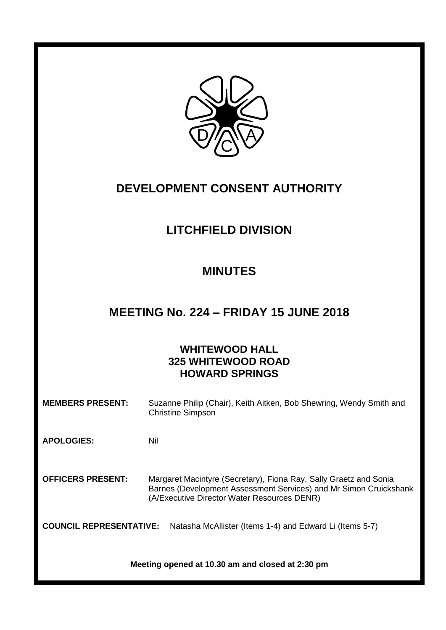

# **DEVELOPMENT CONSENT AUTHORITY**

# **LITCHFIELD DIVISION**

## **MINUTES**

## **MEETING No. 224 – FRIDAY 15 JUNE 2018**

## **WHITEWOOD HALL 325 WHITEWOOD ROAD HOWARD SPRINGS**

| <b>MEMBERS PRESENT:</b>        | Suzanne Philip (Chair), Keith Aitken, Bob Shewring, Wendy Smith and<br><b>Christine Simpson</b>                                                                                       |
|--------------------------------|---------------------------------------------------------------------------------------------------------------------------------------------------------------------------------------|
| <b>APOLOGIES:</b>              | Nil                                                                                                                                                                                   |
| <b>OFFICERS PRESENT:</b>       | Margaret Macintyre (Secretary), Fiona Ray, Sally Graetz and Sonia<br>Barnes (Development Assessment Services) and Mr Simon Cruickshank<br>(A/Executive Director Water Resources DENR) |
| <b>COUNCIL REPRESENTATIVE:</b> | Natasha McAllister (Items 1-4) and Edward Li (Items 5-7)                                                                                                                              |

**Meeting opened at 10.30 am and closed at 2:30 pm**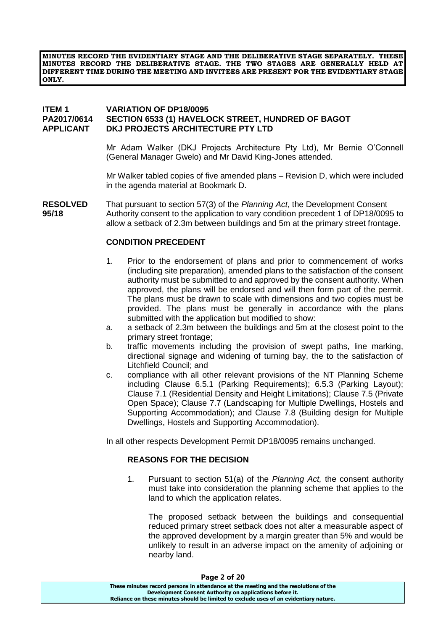**MINUTES RECORD THE EVIDENTIARY STAGE AND THE DELIBERATIVE STAGE SEPARATELY. THESE MINUTES RECORD THE DELIBERATIVE STAGE. THE TWO STAGES ARE GENERALLY HELD AT DIFFERENT TIME DURING THE MEETING AND INVITEES ARE PRESENT FOR THE EVIDENTIARY STAGE ONLY.**

### **ITEM 1 VARIATION OF DP18/0095 PA2017/0614 SECTION 6533 (1) HAVELOCK STREET, HUNDRED OF BAGOT APPLICANT DKJ PROJECTS ARCHITECTURE PTY LTD**

Mr Adam Walker (DKJ Projects Architecture Pty Ltd), Mr Bernie O'Connell (General Manager Gwelo) and Mr David King-Jones attended.

Mr Walker tabled copies of five amended plans – Revision D, which were included in the agenda material at Bookmark D.

**RESOLVED** That pursuant to section 57(3) of the *Planning Act*, the Development Consent **95/18** Authority consent to the application to vary condition precedent 1 of DP18/0095 to allow a setback of 2.3m between buildings and 5m at the primary street frontage.

#### **CONDITION PRECEDENT**

- 1. Prior to the endorsement of plans and prior to commencement of works (including site preparation), amended plans to the satisfaction of the consent authority must be submitted to and approved by the consent authority. When approved, the plans will be endorsed and will then form part of the permit. The plans must be drawn to scale with dimensions and two copies must be provided. The plans must be generally in accordance with the plans submitted with the application but modified to show:
- a. a setback of 2.3m between the buildings and 5m at the closest point to the primary street frontage;
- b. traffic movements including the provision of swept paths, line marking, directional signage and widening of turning bay, the to the satisfaction of Litchfield Council; and
- c. compliance with all other relevant provisions of the NT Planning Scheme including Clause 6.5.1 (Parking Requirements); 6.5.3 (Parking Layout); Clause 7.1 (Residential Density and Height Limitations); Clause 7.5 (Private Open Space); Clause 7.7 (Landscaping for Multiple Dwellings, Hostels and Supporting Accommodation); and Clause 7.8 (Building design for Multiple Dwellings, Hostels and Supporting Accommodation).

In all other respects Development Permit DP18/0095 remains unchanged.

#### **REASONS FOR THE DECISION**

1. Pursuant to section 51(a) of the *Planning Act,* the consent authority must take into consideration the planning scheme that applies to the land to which the application relates.

The proposed setback between the buildings and consequential reduced primary street setback does not alter a measurable aspect of the approved development by a margin greater than 5% and would be unlikely to result in an adverse impact on the amenity of adjoining or nearby land.

**Page 2 of 20**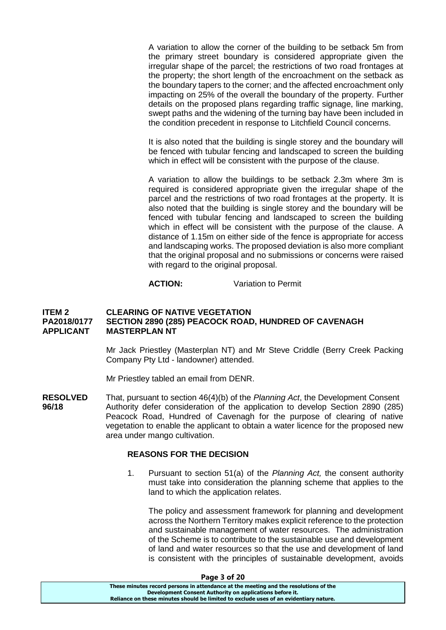A variation to allow the corner of the building to be setback 5m from the primary street boundary is considered appropriate given the irregular shape of the parcel; the restrictions of two road frontages at the property; the short length of the encroachment on the setback as the boundary tapers to the corner; and the affected encroachment only impacting on 25% of the overall the boundary of the property. Further details on the proposed plans regarding traffic signage, line marking, swept paths and the widening of the turning bay have been included in the condition precedent in response to Litchfield Council concerns.

It is also noted that the building is single storey and the boundary will be fenced with tubular fencing and landscaped to screen the building which in effect will be consistent with the purpose of the clause.

A variation to allow the buildings to be setback 2.3m where 3m is required is considered appropriate given the irregular shape of the parcel and the restrictions of two road frontages at the property. It is also noted that the building is single storey and the boundary will be fenced with tubular fencing and landscaped to screen the building which in effect will be consistent with the purpose of the clause. A distance of 1.15m on either side of the fence is appropriate for access and landscaping works. The proposed deviation is also more compliant that the original proposal and no submissions or concerns were raised with regard to the original proposal.

**ACTION:** Variation to Permit

#### **ITEM 2 CLEARING OF NATIVE VEGETATION PA2018/0177 SECTION 2890 (285) PEACOCK ROAD, HUNDRED OF CAVENAGH APPLICANT MASTERPLAN NT**

Mr Jack Priestley (Masterplan NT) and Mr Steve Criddle (Berry Creek Packing Company Pty Ltd - landowner) attended.

Mr Priestley tabled an email from DENR.

**RESOLVED** That, pursuant to section 46(4)(b) of the *Planning Act*, the Development Consent<br>**96/18** Authority defer consideration of the application to develop Section 2890 (285) **96/18** Authority defer consideration of the application to develop Section 2890 (285) Peacock Road, Hundred of Cavenagh for the purpose of clearing of native vegetation to enable the applicant to obtain a water licence for the proposed new area under mango cultivation.

### **REASONS FOR THE DECISION**

1. Pursuant to section 51(a) of the *Planning Act,* the consent authority must take into consideration the planning scheme that applies to the land to which the application relates.

The policy and assessment framework for planning and development across the Northern Territory makes explicit reference to the protection and sustainable management of water resources. The administration of the Scheme is to contribute to the sustainable use and development of land and water resources so that the use and development of land is consistent with the principles of sustainable development, avoids

| Page 3 of 20                                                                          |
|---------------------------------------------------------------------------------------|
| These minutes record persons in attendance at the meeting and the resolutions of the  |
| Development Consent Authority on applications before it.                              |
| Reliance on these minutes should be limited to exclude uses of an evidentiary nature. |
|                                                                                       |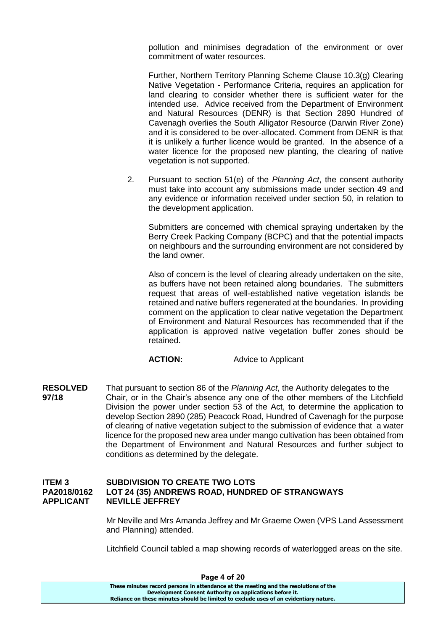pollution and minimises degradation of the environment or over commitment of water resources.

Further, Northern Territory Planning Scheme Clause 10.3(g) Clearing Native Vegetation - Performance Criteria, requires an application for land clearing to consider whether there is sufficient water for the intended use. Advice received from the Department of Environment and Natural Resources (DENR) is that Section 2890 Hundred of Cavenagh overlies the South Alligator Resource (Darwin River Zone) and it is considered to be over-allocated. Comment from DENR is that it is unlikely a further licence would be granted. In the absence of a water licence for the proposed new planting, the clearing of native vegetation is not supported.

2. Pursuant to section 51(e) of the *Planning Act*, the consent authority must take into account any submissions made under section 49 and any evidence or information received under section 50, in relation to the development application.

Submitters are concerned with chemical spraying undertaken by the Berry Creek Packing Company (BCPC) and that the potential impacts on neighbours and the surrounding environment are not considered by the land owner.

Also of concern is the level of clearing already undertaken on the site, as buffers have not been retained along boundaries. The submitters request that areas of well-established native vegetation islands be retained and native buffers regenerated at the boundaries. In providing comment on the application to clear native vegetation the Department of Environment and Natural Resources has recommended that if the application is approved native vegetation buffer zones should be retained.

#### **ACTION:** Advice to Applicant

**RESOLVED** That pursuant to section 86 of the *Planning Act*, the Authority delegates to the **97/18** Chair, or in the Chair's absence any one of the other members of the Litchfield Division the power under section 53 of the Act, to determine the application to develop Section 2890 (285) Peacock Road, Hundred of Cavenagh for the purpose of clearing of native vegetation subject to the submission of evidence that a water licence for the proposed new area under mango cultivation has been obtained from the Department of Environment and Natural Resources and further subject to conditions as determined by the delegate.

#### **ITEM 3 SUBDIVISION TO CREATE TWO LOTS PA2018/0162 LOT 24 (35) ANDREWS ROAD, HUNDRED OF STRANGWAYS APPLICANT NEVILLE JEFFREY**

Mr Neville and Mrs Amanda Jeffrey and Mr Graeme Owen (VPS Land Assessment and Planning) attended.

Litchfield Council tabled a map showing records of waterlogged areas on the site.

| Page 4 of 20                                                                          |  |
|---------------------------------------------------------------------------------------|--|
| These minutes record persons in attendance at the meeting and the resolutions of the  |  |
| Development Consent Authority on applications before it.                              |  |
| Reliance on these minutes should be limited to exclude uses of an evidentiary nature. |  |

#### **Page 4 of 20**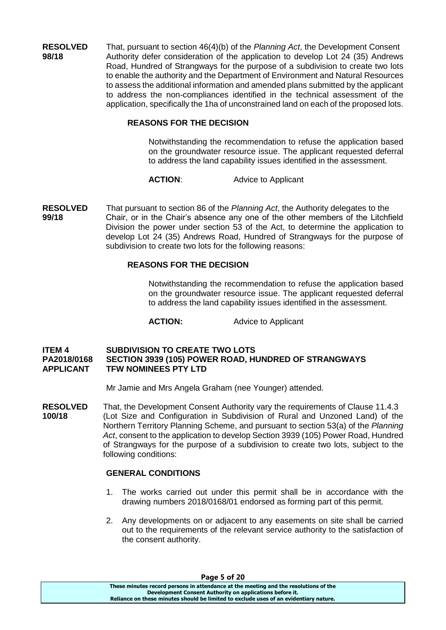**RESOLVED** That, pursuant to section 46(4)(b) of the *Planning Act*, the Development Consent **98/18** Authority defer consideration of the application to develop Lot 24 (35) Andrews Road, Hundred of Strangways for the purpose of a subdivision to create two lots to enable the authority and the Department of Environment and Natural Resources to assess the additional information and amended plans submitted by the applicant to address the non-compliances identified in the technical assessment of the application, specifically the 1ha of unconstrained land on each of the proposed lots.

## **REASONS FOR THE DECISION**

Notwithstanding the recommendation to refuse the application based on the groundwater resource issue. The applicant requested deferral to address the land capability issues identified in the assessment.

### **ACTION:** Advice to Applicant

**RESOLVED** That pursuant to section 86 of the *Planning Act*, the Authority delegates to the **99/18** Chair, or in the Chair's absence any one of the other members of the Litchfield Division the power under section 53 of the Act, to determine the application to develop Lot 24 (35) Andrews Road, Hundred of Strangways for the purpose of subdivision to create two lots for the following reasons:

## **REASONS FOR THE DECISION**

Notwithstanding the recommendation to refuse the application based on the groundwater resource issue. The applicant requested deferral to address the land capability issues identified in the assessment.

**ACTION:** Advice to Applicant

### **ITEM 4 SUBDIVISION TO CREATE TWO LOTS PA2018/0168 SECTION 3939 (105) POWER ROAD, HUNDRED OF STRANGWAYS TFW NOMINEES PTY LTD**

Mr Jamie and Mrs Angela Graham (nee Younger) attended.

**RESOLVED** That, the Development Consent Authority vary the requirements of Clause 11.4.3 **100/18** (Lot Size and Configuration in Subdivision of Rural and Unzoned Land) of the Northern Territory Planning Scheme, and pursuant to section 53(a) of the *Planning Act*, consent to the application to develop Section 3939 (105) Power Road, Hundred of Strangways for the purpose of a subdivision to create two lots, subject to the following conditions:

## **GENERAL CONDITIONS**

- 1. The works carried out under this permit shall be in accordance with the drawing numbers 2018/0168/01 endorsed as forming part of this permit.
- 2. Any developments on or adjacent to any easements on site shall be carried out to the requirements of the relevant service authority to the satisfaction of the consent authority.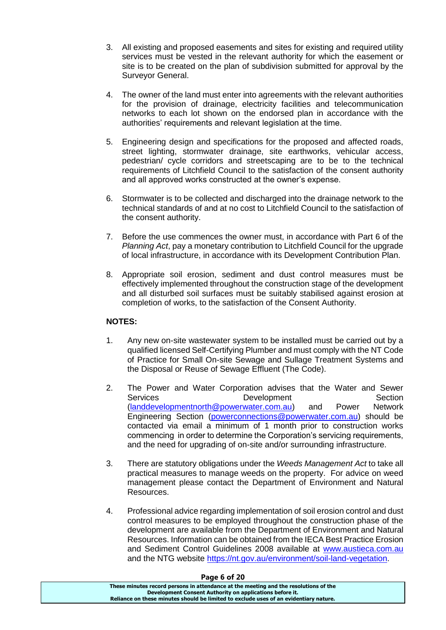- 3. All existing and proposed easements and sites for existing and required utility services must be vested in the relevant authority for which the easement or site is to be created on the plan of subdivision submitted for approval by the Surveyor General.
- 4. The owner of the land must enter into agreements with the relevant authorities for the provision of drainage, electricity facilities and telecommunication networks to each lot shown on the endorsed plan in accordance with the authorities' requirements and relevant legislation at the time.
- 5. Engineering design and specifications for the proposed and affected roads, street lighting, stormwater drainage, site earthworks, vehicular access, pedestrian/ cycle corridors and streetscaping are to be to the technical requirements of Litchfield Council to the satisfaction of the consent authority and all approved works constructed at the owner's expense.
- 6. Stormwater is to be collected and discharged into the drainage network to the technical standards of and at no cost to Litchfield Council to the satisfaction of the consent authority.
- 7. Before the use commences the owner must, in accordance with Part 6 of the *Planning Act*, pay a monetary contribution to Litchfield Council for the upgrade of local infrastructure, in accordance with its Development Contribution Plan.
- 8. Appropriate soil erosion, sediment and dust control measures must be effectively implemented throughout the construction stage of the development and all disturbed soil surfaces must be suitably stabilised against erosion at completion of works, to the satisfaction of the Consent Authority.

## **NOTES:**

- 1. Any new on-site wastewater system to be installed must be carried out by a qualified licensed Self-Certifying Plumber and must comply with the NT Code of Practice for Small On-site Sewage and Sullage Treatment Systems and the Disposal or Reuse of Sewage Effluent (The Code).
- 2. The Power and Water Corporation advises that the Water and Sewer Services **Development** Development Section [\(landdevelopmentnorth@powerwater.com.au\)](mailto:landdevelopmentnorth@powerwater.com.au) and Power Network Engineering Section [\(powerconnections@powerwater.com.au\)](mailto:powerconnections@powerwater.com.au) should be contacted via email a minimum of 1 month prior to construction works commencing in order to determine the Corporation's servicing requirements, and the need for upgrading of on-site and/or surrounding infrastructure.
- 3. There are statutory obligations under the *Weeds Management Act* to take all practical measures to manage weeds on the property. For advice on weed management please contact the Department of Environment and Natural Resources.
- 4. Professional advice regarding implementation of soil erosion control and dust control measures to be employed throughout the construction phase of the development are available from the Department of Environment and Natural Resources. Information can be obtained from the IECA Best Practice Erosion and Sediment Control Guidelines 2008 available at [www.austieca.com.au](http://www.austieca.com.au/) and the NTG website [https://nt.gov.au/environment/soil-land-vegetation.](https://nt.gov.au/environment/soil-land-vegetation)

| <b>Faye 0 01 ZU</b>                                                                   |
|---------------------------------------------------------------------------------------|
| These minutes record persons in attendance at the meeting and the resolutions of the  |
| Development Consent Authority on applications before it.                              |
| Reliance on these minutes should be limited to exclude uses of an evidentiary nature. |
|                                                                                       |

#### **Page 6 of 20**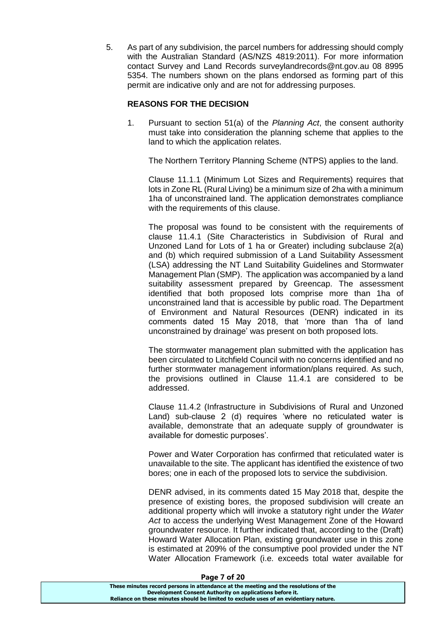5. As part of any subdivision, the parcel numbers for addressing should comply with the Australian Standard (AS/NZS 4819:2011). For more information contact Survey and Land Records surveylandrecords@nt.gov.au 08 8995 5354. The numbers shown on the plans endorsed as forming part of this permit are indicative only and are not for addressing purposes.

## **REASONS FOR THE DECISION**

1. Pursuant to section 51(a) of the *Planning Act*, the consent authority must take into consideration the planning scheme that applies to the land to which the application relates.

The Northern Territory Planning Scheme (NTPS) applies to the land.

Clause 11.1.1 (Minimum Lot Sizes and Requirements) requires that lots in Zone RL (Rural Living) be a minimum size of 2ha with a minimum 1ha of unconstrained land. The application demonstrates compliance with the requirements of this clause.

The proposal was found to be consistent with the requirements of clause 11.4.1 (Site Characteristics in Subdivision of Rural and Unzoned Land for Lots of 1 ha or Greater) including subclause 2(a) and (b) which required submission of a Land Suitability Assessment (LSA) addressing the NT Land Suitability Guidelines and Stormwater Management Plan (SMP). The application was accompanied by a land suitability assessment prepared by Greencap. The assessment identified that both proposed lots comprise more than 1ha of unconstrained land that is accessible by public road. The Department of Environment and Natural Resources (DENR) indicated in its comments dated 15 May 2018, that 'more than 1ha of land unconstrained by drainage' was present on both proposed lots.

The stormwater management plan submitted with the application has been circulated to Litchfield Council with no concerns identified and no further stormwater management information/plans required. As such, the provisions outlined in Clause 11.4.1 are considered to be addressed.

Clause 11.4.2 (Infrastructure in Subdivisions of Rural and Unzoned Land) sub-clause 2 (d) requires 'where no reticulated water is available, demonstrate that an adequate supply of groundwater is available for domestic purposes'.

Power and Water Corporation has confirmed that reticulated water is unavailable to the site. The applicant has identified the existence of two bores; one in each of the proposed lots to service the subdivision.

DENR advised, in its comments dated 15 May 2018 that, despite the presence of existing bores, the proposed subdivision will create an additional property which will invoke a statutory right under the *Water Act* to access the underlying West Management Zone of the Howard groundwater resource. It further indicated that, according to the (Draft) Howard Water Allocation Plan, existing groundwater use in this zone is estimated at 209% of the consumptive pool provided under the NT Water Allocation Framework (i.e. exceeds total water available for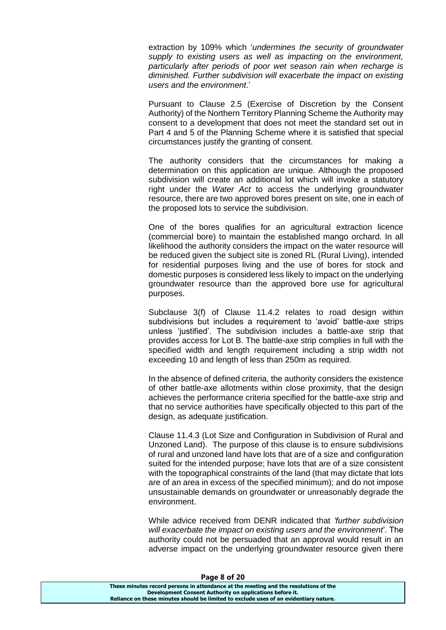extraction by 109% which '*undermines the security of groundwater supply to existing users as well as impacting on the environment, particularly after periods of poor wet season rain when recharge is diminished. Further subdivision will exacerbate the impact on existing users and the environment*.'

Pursuant to Clause 2.5 (Exercise of Discretion by the Consent Authority) of the Northern Territory Planning Scheme the Authority may consent to a development that does not meet the standard set out in Part 4 and 5 of the Planning Scheme where it is satisfied that special circumstances justify the granting of consent.

The authority considers that the circumstances for making a determination on this application are unique. Although the proposed subdivision will create an additional lot which will invoke a statutory right under the *Water Act* to access the underlying groundwater resource, there are two approved bores present on site, one in each of the proposed lots to service the subdivision.

One of the bores qualifies for an agricultural extraction licence (commercial bore) to maintain the established mango orchard. In all likelihood the authority considers the impact on the water resource will be reduced given the subject site is zoned RL (Rural Living), intended for residential purposes living and the use of bores for stock and domestic purposes is considered less likely to impact on the underlying groundwater resource than the approved bore use for agricultural purposes.

Subclause 3(f) of Clause 11.4.2 relates to road design within subdivisions but includes a requirement to 'avoid' battle-axe strips unless 'justified'. The subdivision includes a battle-axe strip that provides access for Lot B. The battle-axe strip complies in full with the specified width and length requirement including a strip width not exceeding 10 and length of less than 250m as required.

In the absence of defined criteria, the authority considers the existence of other battle-axe allotments within close proximity, that the design achieves the performance criteria specified for the battle-axe strip and that no service authorities have specifically objected to this part of the design, as adequate justification.

Clause 11.4.3 (Lot Size and Configuration in Subdivision of Rural and Unzoned Land). The purpose of this clause is to ensure subdivisions of rural and unzoned land have lots that are of a size and configuration suited for the intended purpose; have lots that are of a size consistent with the topographical constraints of the land (that may dictate that lots are of an area in excess of the specified minimum); and do not impose unsustainable demands on groundwater or unreasonably degrade the environment.

While advice received from DENR indicated that *'further subdivision will exacerbate the impact on existing users and the environment*'. The authority could not be persuaded that an approval would result in an adverse impact on the underlying groundwater resource given there

| Page 8 of 20                                                                          |  |
|---------------------------------------------------------------------------------------|--|
| These minutes record persons in attendance at the meeting and the resolutions of the  |  |
| Development Consent Authority on applications before it.                              |  |
| Reliance on these minutes should be limited to exclude uses of an evidentiary nature. |  |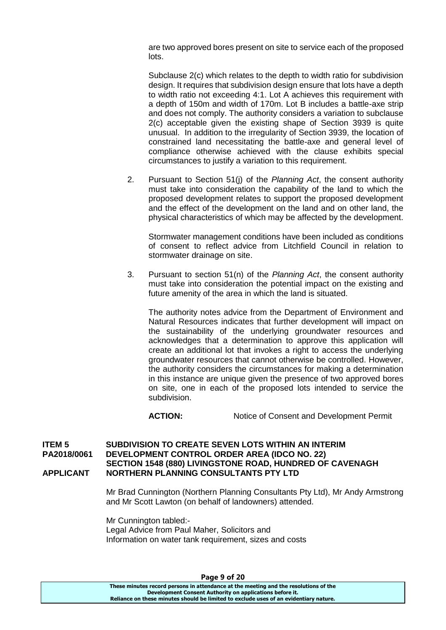are two approved bores present on site to service each of the proposed lots.

Subclause 2(c) which relates to the depth to width ratio for subdivision design. It requires that subdivision design ensure that lots have a depth to width ratio not exceeding 4:1. Lot A achieves this requirement with a depth of 150m and width of 170m. Lot B includes a battle-axe strip and does not comply. The authority considers a variation to subclause 2(c) acceptable given the existing shape of Section 3939 is quite unusual. In addition to the irregularity of Section 3939, the location of constrained land necessitating the battle-axe and general level of compliance otherwise achieved with the clause exhibits special circumstances to justify a variation to this requirement.

2. Pursuant to Section 51(j) of the *Planning Act*, the consent authority must take into consideration the capability of the land to which the proposed development relates to support the proposed development and the effect of the development on the land and on other land, the physical characteristics of which may be affected by the development.

Stormwater management conditions have been included as conditions of consent to reflect advice from Litchfield Council in relation to stormwater drainage on site.

3. Pursuant to section 51(n) of the *Planning Act*, the consent authority must take into consideration the potential impact on the existing and future amenity of the area in which the land is situated.

The authority notes advice from the Department of Environment and Natural Resources indicates that further development will impact on the sustainability of the underlying groundwater resources and acknowledges that a determination to approve this application will create an additional lot that invokes a right to access the underlying groundwater resources that cannot otherwise be controlled. However, the authority considers the circumstances for making a determination in this instance are unique given the presence of two approved bores on site, one in each of the proposed lots intended to service the subdivision.

**ACTION:** Notice of Consent and Development Permit

#### **ITEM 5 SUBDIVISION TO CREATE SEVEN LOTS WITHIN AN INTERIM PA2018/0061 DEVELOPMENT CONTROL ORDER AREA (IDCO NO. 22) SECTION 1548 (880) LIVINGSTONE ROAD, HUNDRED OF CAVENAGH APPLICANT NORTHERN PLANNING CONSULTANTS PTY LTD**

Mr Brad Cunnington (Northern Planning Consultants Pty Ltd), Mr Andy Armstrong and Mr Scott Lawton (on behalf of landowners) attended.

Mr Cunnington tabled:- Legal Advice from Paul Maher, Solicitors and Information on water tank requirement, sizes and costs

**These minutes record persons in attendance at the meeting and the resolutions of the Development Consent Authority on applications before it. Reliance on these minutes should be limited to exclude uses of an evidentiary nature.**

**Page 9 of 20**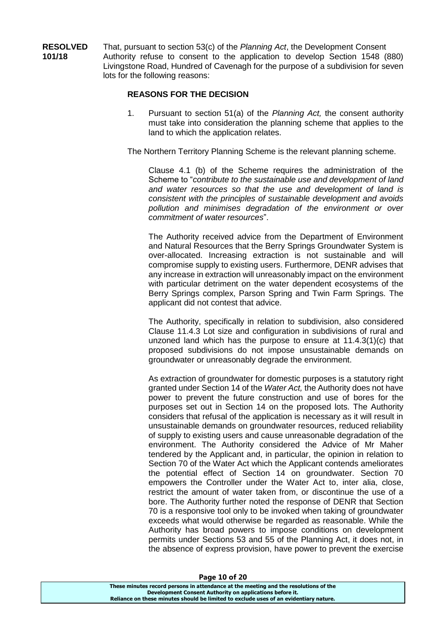**RESOLVED** That, pursuant to section 53(c) of the *Planning Act*, the Development Consent **101/18** Authority refuse to consent to the application to develop Section 1548 (880) Livingstone Road, Hundred of Cavenagh for the purpose of a subdivision for seven lots for the following reasons:

## **REASONS FOR THE DECISION**

1. Pursuant to section 51(a) of the *Planning Act,* the consent authority must take into consideration the planning scheme that applies to the land to which the application relates.

The Northern Territory Planning Scheme is the relevant planning scheme.

Clause 4.1 (b) of the Scheme requires the administration of the Scheme to "*contribute to the sustainable use and development of land and water resources so that the use and development of land is consistent with the principles of sustainable development and avoids pollution and minimises degradation of the environment or over commitment of water resources*".

The Authority received advice from the Department of Environment and Natural Resources that the Berry Springs Groundwater System is over-allocated. Increasing extraction is not sustainable and will compromise supply to existing users. Furthermore, DENR advises that any increase in extraction will unreasonably impact on the environment with particular detriment on the water dependent ecosystems of the Berry Springs complex, Parson Spring and Twin Farm Springs. The applicant did not contest that advice.

The Authority, specifically in relation to subdivision, also considered Clause 11.4.3 Lot size and configuration in subdivisions of rural and unzoned land which has the purpose to ensure at 11.4.3(1)(c) that proposed subdivisions do not impose unsustainable demands on groundwater or unreasonably degrade the environment.

As extraction of groundwater for domestic purposes is a statutory right granted under Section 14 of the *Water Act,* the Authority does not have power to prevent the future construction and use of bores for the purposes set out in Section 14 on the proposed lots. The Authority considers that refusal of the application is necessary as it will result in unsustainable demands on groundwater resources, reduced reliability of supply to existing users and cause unreasonable degradation of the environment. The Authority considered the Advice of Mr Maher tendered by the Applicant and, in particular, the opinion in relation to Section 70 of the Water Act which the Applicant contends ameliorates the potential effect of Section 14 on groundwater. Section 70 empowers the Controller under the Water Act to, inter alia, close, restrict the amount of water taken from, or discontinue the use of a bore. The Authority further noted the response of DENR that Section 70 is a responsive tool only to be invoked when taking of groundwater exceeds what would otherwise be regarded as reasonable. While the Authority has broad powers to impose conditions on development permits under Sections 53 and 55 of the Planning Act, it does not, in the absence of express provision, have power to prevent the exercise

**Page 10 of 20**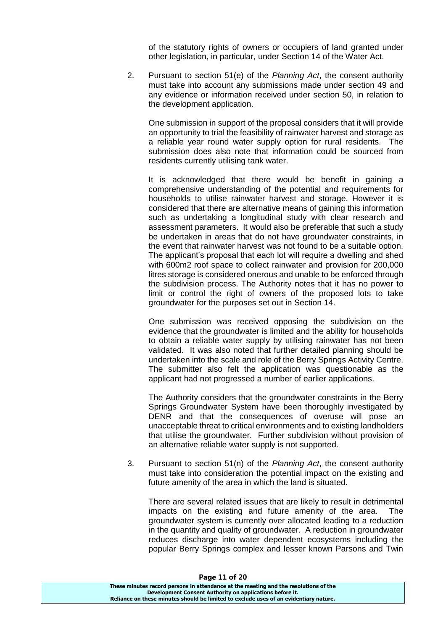of the statutory rights of owners or occupiers of land granted under other legislation, in particular, under Section 14 of the Water Act.

2. Pursuant to section 51(e) of the *Planning Act*, the consent authority must take into account any submissions made under section 49 and any evidence or information received under section 50, in relation to the development application.

One submission in support of the proposal considers that it will provide an opportunity to trial the feasibility of rainwater harvest and storage as a reliable year round water supply option for rural residents. The submission does also note that information could be sourced from residents currently utilising tank water.

It is acknowledged that there would be benefit in gaining a comprehensive understanding of the potential and requirements for households to utilise rainwater harvest and storage. However it is considered that there are alternative means of gaining this information such as undertaking a longitudinal study with clear research and assessment parameters. It would also be preferable that such a study be undertaken in areas that do not have groundwater constraints, in the event that rainwater harvest was not found to be a suitable option. The applicant's proposal that each lot will require a dwelling and shed with 600m2 roof space to collect rainwater and provision for 200,000 litres storage is considered onerous and unable to be enforced through the subdivision process. The Authority notes that it has no power to limit or control the right of owners of the proposed lots to take groundwater for the purposes set out in Section 14.

One submission was received opposing the subdivision on the evidence that the groundwater is limited and the ability for households to obtain a reliable water supply by utilising rainwater has not been validated. It was also noted that further detailed planning should be undertaken into the scale and role of the Berry Springs Activity Centre. The submitter also felt the application was questionable as the applicant had not progressed a number of earlier applications.

The Authority considers that the groundwater constraints in the Berry Springs Groundwater System have been thoroughly investigated by DENR and that the consequences of overuse will pose an unacceptable threat to critical environments and to existing landholders that utilise the groundwater. Further subdivision without provision of an alternative reliable water supply is not supported.

3. Pursuant to section 51(n) of the *Planning Act*, the consent authority must take into consideration the potential impact on the existing and future amenity of the area in which the land is situated.

There are several related issues that are likely to result in detrimental impacts on the existing and future amenity of the area. The groundwater system is currently over allocated leading to a reduction in the quantity and quality of groundwater. A reduction in groundwater reduces discharge into water dependent ecosystems including the popular Berry Springs complex and lesser known Parsons and Twin

| Page 11 of 20                                                                         |  |
|---------------------------------------------------------------------------------------|--|
| These minutes record persons in attendance at the meeting and the resolutions of the  |  |
| Development Consent Authority on applications before it.                              |  |
| Reliance on these minutes should be limited to exclude uses of an evidentiary nature. |  |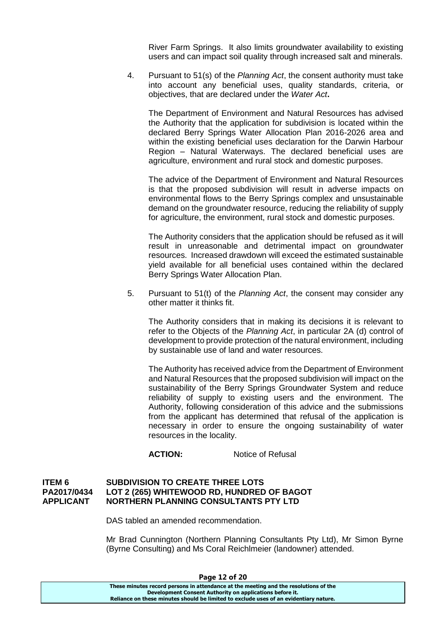River Farm Springs. It also limits groundwater availability to existing users and can impact soil quality through increased salt and minerals.

4. Pursuant to 51(s) of the *Planning Act*, the consent authority must take into account any beneficial uses, quality standards, criteria, or objectives, that are declared under the *Water Act***.**

The Department of Environment and Natural Resources has advised the Authority that the application for subdivision is located within the declared Berry Springs Water Allocation Plan 2016-2026 area and within the existing beneficial uses declaration for the Darwin Harbour Region – Natural Waterways. The declared beneficial uses are agriculture, environment and rural stock and domestic purposes.

The advice of the Department of Environment and Natural Resources is that the proposed subdivision will result in adverse impacts on environmental flows to the Berry Springs complex and unsustainable demand on the groundwater resource, reducing the reliability of supply for agriculture, the environment, rural stock and domestic purposes.

The Authority considers that the application should be refused as it will result in unreasonable and detrimental impact on groundwater resources. Increased drawdown will exceed the estimated sustainable yield available for all beneficial uses contained within the declared Berry Springs Water Allocation Plan.

5. Pursuant to 51(t) of the *Planning Act*, the consent may consider any other matter it thinks fit.

The Authority considers that in making its decisions it is relevant to refer to the Objects of the *Planning Act*, in particular 2A (d) control of development to provide protection of the natural environment, including by sustainable use of land and water resources.

The Authority has received advice from the Department of Environment and Natural Resources that the proposed subdivision will impact on the sustainability of the Berry Springs Groundwater System and reduce reliability of supply to existing users and the environment. The Authority, following consideration of this advice and the submissions from the applicant has determined that refusal of the application is necessary in order to ensure the ongoing sustainability of water resources in the locality.

ACTION: Notice of Refusal

#### **ITEM 6 SUBDIVISION TO CREATE THREE LOTS PA2017/0434 LOT 2 (265) WHITEWOOD RD, HUNDRED OF BAGOT APPLICANT NORTHERN PLANNING CONSULTANTS PTY LTD**

DAS tabled an amended recommendation.

Mr Brad Cunnington (Northern Planning Consultants Pty Ltd), Mr Simon Byrne (Byrne Consulting) and Ms Coral Reichlmeier (landowner) attended.

| Page 12 of 20                                                                         |  |
|---------------------------------------------------------------------------------------|--|
| These minutes record persons in attendance at the meeting and the resolutions of the  |  |
| Development Consent Authority on applications before it.                              |  |
| Reliance on these minutes should be limited to exclude uses of an evidentiary nature. |  |

**Page 12 of 20**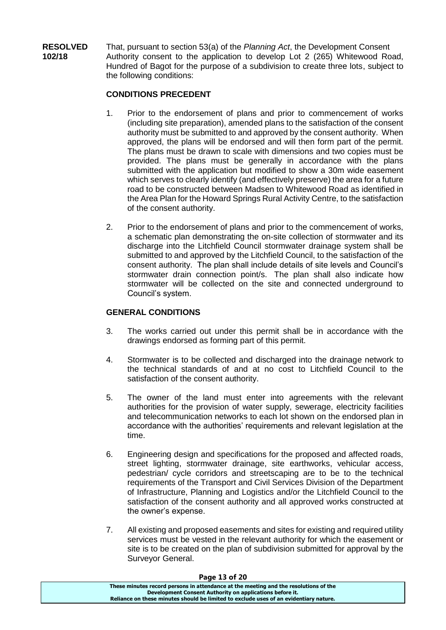**RESOLVED** That, pursuant to section 53(a) of the *Planning Act*, the Development Consent **102/18** Authority consent to the application to develop Lot 2 (265) Whitewood Road, Hundred of Bagot for the purpose of a subdivision to create three lots, subject to the following conditions:

## **CONDITIONS PRECEDENT**

- 1. Prior to the endorsement of plans and prior to commencement of works (including site preparation), amended plans to the satisfaction of the consent authority must be submitted to and approved by the consent authority. When approved, the plans will be endorsed and will then form part of the permit. The plans must be drawn to scale with dimensions and two copies must be provided. The plans must be generally in accordance with the plans submitted with the application but modified to show a 30m wide easement which serves to clearly identify (and effectively preserve) the area for a future road to be constructed between Madsen to Whitewood Road as identified in the Area Plan for the Howard Springs Rural Activity Centre, to the satisfaction of the consent authority.
- 2. Prior to the endorsement of plans and prior to the commencement of works, a schematic plan demonstrating the on-site collection of stormwater and its discharge into the Litchfield Council stormwater drainage system shall be submitted to and approved by the Litchfield Council, to the satisfaction of the consent authority. The plan shall include details of site levels and Council's stormwater drain connection point/s. The plan shall also indicate how stormwater will be collected on the site and connected underground to Council's system.

## **GENERAL CONDITIONS**

- 3. The works carried out under this permit shall be in accordance with the drawings endorsed as forming part of this permit.
- 4. Stormwater is to be collected and discharged into the drainage network to the technical standards of and at no cost to Litchfield Council to the satisfaction of the consent authority.
- 5. The owner of the land must enter into agreements with the relevant authorities for the provision of water supply, sewerage, electricity facilities and telecommunication networks to each lot shown on the endorsed plan in accordance with the authorities' requirements and relevant legislation at the time.
- 6. Engineering design and specifications for the proposed and affected roads, street lighting, stormwater drainage, site earthworks, vehicular access, pedestrian/ cycle corridors and streetscaping are to be to the technical requirements of the Transport and Civil Services Division of the Department of Infrastructure, Planning and Logistics and/or the Litchfield Council to the satisfaction of the consent authority and all approved works constructed at the owner's expense.
- 7. All existing and proposed easements and sites for existing and required utility services must be vested in the relevant authority for which the easement or site is to be created on the plan of subdivision submitted for approval by the Surveyor General.

#### **Page 13 of 20**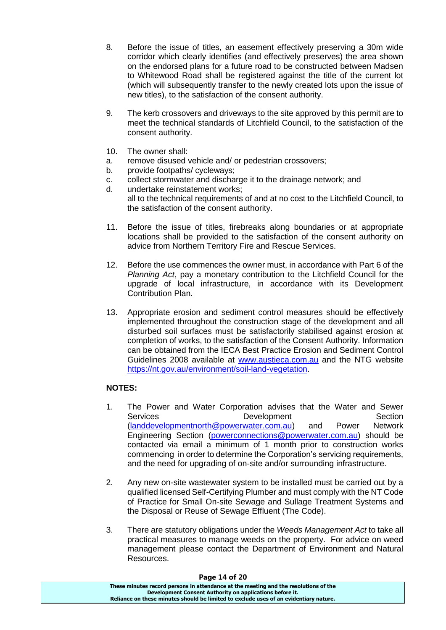- 8. Before the issue of titles, an easement effectively preserving a 30m wide corridor which clearly identifies (and effectively preserves) the area shown on the endorsed plans for a future road to be constructed between Madsen to Whitewood Road shall be registered against the title of the current lot (which will subsequently transfer to the newly created lots upon the issue of new titles), to the satisfaction of the consent authority.
- 9. The kerb crossovers and driveways to the site approved by this permit are to meet the technical standards of Litchfield Council, to the satisfaction of the consent authority.
- 10. The owner shall:
- a. remove disused vehicle and/ or pedestrian crossovers;
- b. provide footpaths/ cycleways;
- c. collect stormwater and discharge it to the drainage network; and
- d. undertake reinstatement works; all to the technical requirements of and at no cost to the Litchfield Council, to the satisfaction of the consent authority.
- 11. Before the issue of titles, firebreaks along boundaries or at appropriate locations shall be provided to the satisfaction of the consent authority on advice from Northern Territory Fire and Rescue Services.
- 12. Before the use commences the owner must, in accordance with Part 6 of the *Planning Act*, pay a monetary contribution to the Litchfield Council for the upgrade of local infrastructure, in accordance with its Development Contribution Plan.
- 13. Appropriate erosion and sediment control measures should be effectively implemented throughout the construction stage of the development and all disturbed soil surfaces must be satisfactorily stabilised against erosion at completion of works, to the satisfaction of the Consent Authority. Information can be obtained from the IECA Best Practice Erosion and Sediment Control Guidelines 2008 available at [www.austieca.com.au](http://www.austieca.com.au/) and the NTG website [https://nt.gov.au/environment/soil-land-vegetation.](https://nt.gov.au/environment/soil-land-vegetation)

## **NOTES:**

- 1. The Power and Water Corporation advises that the Water and Sewer Services **Development** Development Section [\(landdevelopmentnorth@powerwater.com.au\)](mailto:landdevelopmentnorth@powerwater.com.au) and Power Network Engineering Section [\(powerconnections@powerwater.com.au\)](mailto:powerconnections@powerwater.com.au) should be contacted via email a minimum of 1 month prior to construction works commencing in order to determine the Corporation's servicing requirements, and the need for upgrading of on-site and/or surrounding infrastructure.
- 2. Any new on-site wastewater system to be installed must be carried out by a qualified licensed Self-Certifying Plumber and must comply with the NT Code of Practice for Small On-site Sewage and Sullage Treatment Systems and the Disposal or Reuse of Sewage Effluent (The Code).
- 3. There are statutory obligations under the *Weeds Management Act* to take all practical measures to manage weeds on the property. For advice on weed management please contact the Department of Environment and Natural Resources.

| Page 14 or 20                                                                         |  |
|---------------------------------------------------------------------------------------|--|
| These minutes record persons in attendance at the meeting and the resolutions of the  |  |
| Development Consent Authority on applications before it.                              |  |
| Reliance on these minutes should be limited to exclude uses of an evidentiary nature. |  |

#### **Page 14 of 20**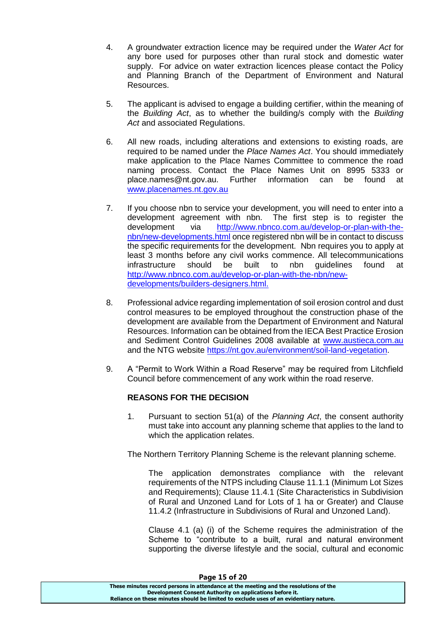- 4. A groundwater extraction licence may be required under the *Water Act* for any bore used for purposes other than rural stock and domestic water supply. For advice on water extraction licences please contact the Policy and Planning Branch of the Department of Environment and Natural Resources.
- 5. The applicant is advised to engage a building certifier, within the meaning of the *Building Act*, as to whether the building/s comply with the *Building Act* and associated Regulations.
- 6. All new roads, including alterations and extensions to existing roads, are required to be named under the *Place Names Act*. You should immediately make application to the Place Names Committee to commence the road naming process. Contact the Place Names Unit on 8995 5333 or place.names@nt.gov.au. Further information can be found at [www.placenames.nt.gov.au](http://www.placenames.nt.gov.au/)
- 7. If you choose nbn to service your development, you will need to enter into a development agreement with nbn. The first step is to register the development via [http://www.nbnco.com.au/develop-or-plan-with-the](http://www.nbnco.com.au/develop-or-plan-with-the-nbn/new-developments.html)[nbn/new-developments.html](http://www.nbnco.com.au/develop-or-plan-with-the-nbn/new-developments.html) once registered nbn will be in contact to discuss the specific requirements for the development. Nbn requires you to apply at least 3 months before any civil works commence. All telecommunications infrastructure should be built to nbn guidelines found at [http://www.nbnco.com.au/develop-or-plan-with-the-nbn/new](http://www.nbnco.com.au/develop-or-plan-with-the-nbn/new-developments/builders-designers.html)[developments/builders-designers.html.](http://www.nbnco.com.au/develop-or-plan-with-the-nbn/new-developments/builders-designers.html)
- 8. Professional advice regarding implementation of soil erosion control and dust control measures to be employed throughout the construction phase of the development are available from the Department of Environment and Natural Resources. Information can be obtained from the IECA Best Practice Erosion and Sediment Control Guidelines 2008 available at [www.austieca.com.au](http://www.austieca.com.au/) and the NTG website [https://nt.gov.au/environment/soil-land-vegetation.](https://nt.gov.au/environment/soil-land-vegetation)
- 9. A "Permit to Work Within a Road Reserve" may be required from Litchfield Council before commencement of any work within the road reserve.

## **REASONS FOR THE DECISION**

1. Pursuant to section 51(a) of the *Planning Act*, the consent authority must take into account any planning scheme that applies to the land to which the application relates.

The Northern Territory Planning Scheme is the relevant planning scheme.

The application demonstrates compliance with the relevant requirements of the NTPS including Clause 11.1.1 (Minimum Lot Sizes and Requirements); Clause 11.4.1 (Site Characteristics in Subdivision of Rural and Unzoned Land for Lots of 1 ha or Greater) and Clause 11.4.2 (Infrastructure in Subdivisions of Rural and Unzoned Land).

Clause 4.1 (a) (i) of the Scheme requires the administration of the Scheme to "contribute to a built, rural and natural environment supporting the diverse lifestyle and the social, cultural and economic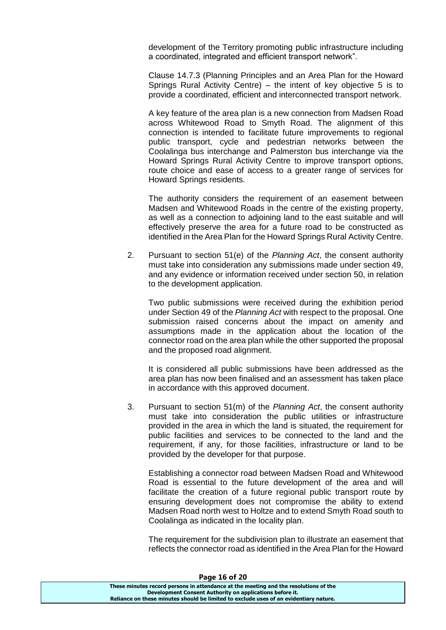development of the Territory promoting public infrastructure including a coordinated, integrated and efficient transport network".

Clause 14.7.3 (Planning Principles and an Area Plan for the Howard Springs Rural Activity Centre) – the intent of key objective 5 is to provide a coordinated, efficient and interconnected transport network.

A key feature of the area plan is a new connection from Madsen Road across Whitewood Road to Smyth Road. The alignment of this connection is intended to facilitate future improvements to regional public transport, cycle and pedestrian networks between the Coolalinga bus interchange and Palmerston bus interchange via the Howard Springs Rural Activity Centre to improve transport options, route choice and ease of access to a greater range of services for Howard Springs residents.

The authority considers the requirement of an easement between Madsen and Whitewood Roads in the centre of the existing property, as well as a connection to adjoining land to the east suitable and will effectively preserve the area for a future road to be constructed as identified in the Area Plan for the Howard Springs Rural Activity Centre.

2. Pursuant to section 51(e) of the *Planning Act*, the consent authority must take into consideration any submissions made under section 49, and any evidence or information received under section 50, in relation to the development application.

Two public submissions were received during the exhibition period under Section 49 of the *Planning Act* with respect to the proposal. One submission raised concerns about the impact on amenity and assumptions made in the application about the location of the connector road on the area plan while the other supported the proposal and the proposed road alignment.

It is considered all public submissions have been addressed as the area plan has now been finalised and an assessment has taken place in accordance with this approved document.

3. Pursuant to section 51(m) of the *Planning Act*, the consent authority must take into consideration the public utilities or infrastructure provided in the area in which the land is situated, the requirement for public facilities and services to be connected to the land and the requirement, if any, for those facilities, infrastructure or land to be provided by the developer for that purpose.

Establishing a connector road between Madsen Road and Whitewood Road is essential to the future development of the area and will facilitate the creation of a future regional public transport route by ensuring development does not compromise the ability to extend Madsen Road north west to Holtze and to extend Smyth Road south to Coolalinga as indicated in the locality plan.

The requirement for the subdivision plan to illustrate an easement that reflects the connector road as identified in the Area Plan for the Howard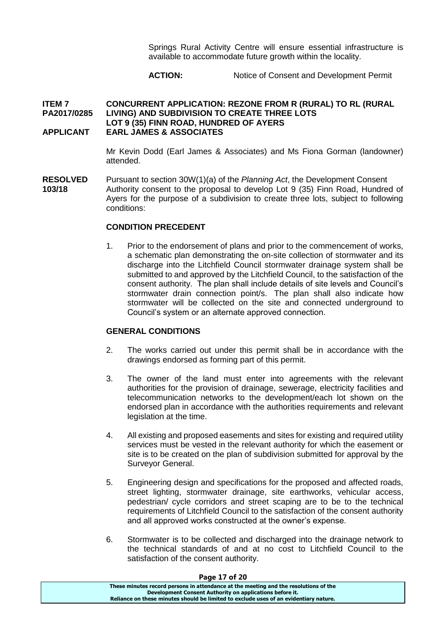Springs Rural Activity Centre will ensure essential infrastructure is available to accommodate future growth within the locality.

## **ACTION:** Notice of Consent and Development Permit

#### **ITEM 7 CONCURRENT APPLICATION: REZONE FROM R (RURAL) TO RL (RURAL PA2017/0285 LIVING) AND SUBDIVISION TO CREATE THREE LOTS LOT 9 (35) FINN ROAD, HUNDRED OF AYERS APPLICANT EARL JAMES & ASSOCIATES**

Mr Kevin Dodd (Earl James & Associates) and Ms Fiona Gorman (landowner) attended.

**RESOLVED** Pursuant to section 30W(1)(a) of the *Planning Act*, the Development Consent **103/18** Authority consent to the proposal to develop Lot 9 (35) Finn Road, Hundred of Ayers for the purpose of a subdivision to create three lots, subject to following conditions:

#### **CONDITION PRECEDENT**

1. Prior to the endorsement of plans and prior to the commencement of works, a schematic plan demonstrating the on-site collection of stormwater and its discharge into the Litchfield Council stormwater drainage system shall be submitted to and approved by the Litchfield Council, to the satisfaction of the consent authority. The plan shall include details of site levels and Council's stormwater drain connection point/s. The plan shall also indicate how stormwater will be collected on the site and connected underground to Council's system or an alternate approved connection.

#### **GENERAL CONDITIONS**

- 2. The works carried out under this permit shall be in accordance with the drawings endorsed as forming part of this permit.
- 3. The owner of the land must enter into agreements with the relevant authorities for the provision of drainage, sewerage, electricity facilities and telecommunication networks to the development/each lot shown on the endorsed plan in accordance with the authorities requirements and relevant legislation at the time.
- 4. All existing and proposed easements and sites for existing and required utility services must be vested in the relevant authority for which the easement or site is to be created on the plan of subdivision submitted for approval by the Surveyor General.
- 5. Engineering design and specifications for the proposed and affected roads, street lighting, stormwater drainage, site earthworks, vehicular access, pedestrian/ cycle corridors and street scaping are to be to the technical requirements of Litchfield Council to the satisfaction of the consent authority and all approved works constructed at the owner's expense.
- 6. Stormwater is to be collected and discharged into the drainage network to the technical standards of and at no cost to Litchfield Council to the satisfaction of the consent authority.

| Page 17 of 20                                                                         |
|---------------------------------------------------------------------------------------|
| These minutes record persons in attendance at the meeting and the resolutions of the  |
| Development Consent Authority on applications before it.                              |
| Reliance on these minutes should be limited to exclude uses of an evidentiary nature. |
|                                                                                       |

## **Page 17 of 20**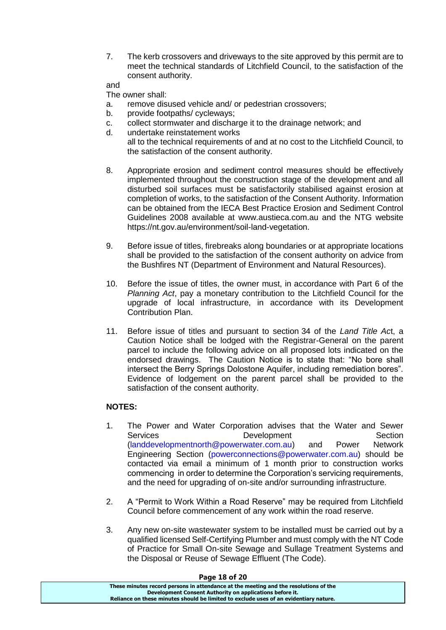7. The kerb crossovers and driveways to the site approved by this permit are to meet the technical standards of Litchfield Council, to the satisfaction of the consent authority.

#### and

The owner shall:

- a. remove disused vehicle and/ or pedestrian crossovers;
- b. provide footpaths/ cycleways:
- c. collect stormwater and discharge it to the drainage network; and
- d. undertake reinstatement works
	- all to the technical requirements of and at no cost to the Litchfield Council, to the satisfaction of the consent authority.
- 8. Appropriate erosion and sediment control measures should be effectively implemented throughout the construction stage of the development and all disturbed soil surfaces must be satisfactorily stabilised against erosion at completion of works, to the satisfaction of the Consent Authority. Information can be obtained from the IECA Best Practice Erosion and Sediment Control Guidelines 2008 available at [www.austieca.com.au](http://www.austieca.com.au/) and the NTG website [https://nt.gov.au/environment/soil-land-vegetation.](https://nt.gov.au/environment/soil-land-vegetation)
- 9. Before issue of titles, firebreaks along boundaries or at appropriate locations shall be provided to the satisfaction of the consent authority on advice from the Bushfires NT (Department of Environment and Natural Resources).
- 10. Before the issue of titles, the owner must, in accordance with Part 6 of the *Planning Act*, pay a monetary contribution to the Litchfield Council for the upgrade of local infrastructure, in accordance with its Development Contribution Plan.
- 11. Before issue of titles and pursuant to section 34 of the *Land Title Ac*t, a Caution Notice shall be lodged with the Registrar-General on the parent parcel to include the following advice on all proposed lots indicated on the endorsed drawings. The Caution Notice is to state that: "No bore shall intersect the Berry Springs Dolostone Aquifer, including remediation bores". Evidence of lodgement on the parent parcel shall be provided to the satisfaction of the consent authority.

## **NOTES:**

- 1. The Power and Water Corporation advises that the Water and Sewer Services **Development** Development Section [\(landdevelopmentnorth@powerwater.com.au\)](mailto:landdevelopmentnorth@powerwater.com.au) and Power Network Engineering Section [\(powerconnections@powerwater.com.au\)](mailto:powerconnections@powerwater.com.au) should be contacted via email a minimum of 1 month prior to construction works commencing in order to determine the Corporation's servicing requirements, and the need for upgrading of on-site and/or surrounding infrastructure.
- 2. A "Permit to Work Within a Road Reserve" may be required from Litchfield Council before commencement of any work within the road reserve.
- 3. Any new on-site wastewater system to be installed must be carried out by a qualified licensed Self-Certifying Plumber and must comply with the NT Code of Practice for Small On-site Sewage and Sullage Treatment Systems and the Disposal or Reuse of Sewage Effluent (The Code).

| Page 18 or 20                                                                         |  |
|---------------------------------------------------------------------------------------|--|
| These minutes record persons in attendance at the meeting and the resolutions of the  |  |
| Development Consent Authority on applications before it.                              |  |
| Reliance on these minutes should be limited to exclude uses of an evidentiary nature. |  |
|                                                                                       |  |

## **Page 18 of 20**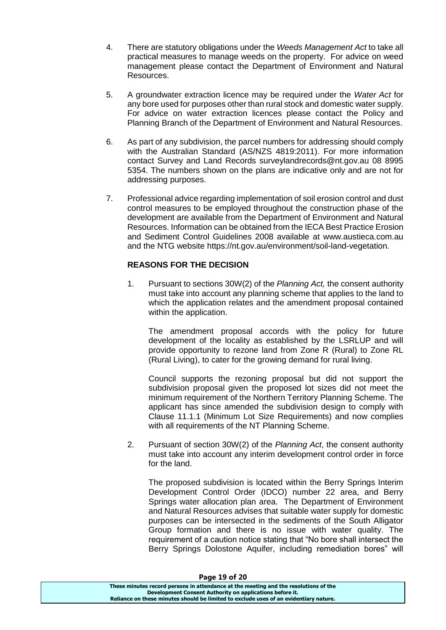- 4. There are statutory obligations under the *Weeds Management Act* to take all practical measures to manage weeds on the property. For advice on weed management please contact the Department of Environment and Natural Resources.
- 5. A groundwater extraction licence may be required under the *Water Act* for any bore used for purposes other than rural stock and domestic water supply. For advice on water extraction licences please contact the Policy and Planning Branch of the Department of Environment and Natural Resources.
- 6. As part of any subdivision, the parcel numbers for addressing should comply with the Australian Standard (AS/NZS 4819:2011). For more information contact Survey and Land Records surveylandrecords@nt.gov.au 08 8995 5354. The numbers shown on the plans are indicative only and are not for addressing purposes.
- 7. Professional advice regarding implementation of soil erosion control and dust control measures to be employed throughout the construction phase of the development are available from the Department of Environment and Natural Resources. Information can be obtained from the IECA Best Practice Erosion and Sediment Control Guidelines 2008 available at www.austieca.com.au and the NTG website https://nt.gov.au/environment/soil-land-vegetation.

## **REASONS FOR THE DECISION**

1. Pursuant to sections 30W(2) of the *Planning Act,* the consent authority must take into account any planning scheme that applies to the land to which the application relates and the amendment proposal contained within the application.

The amendment proposal accords with the policy for future development of the locality as established by the LSRLUP and will provide opportunity to rezone land from Zone R (Rural) to Zone RL (Rural Living), to cater for the growing demand for rural living.

Council supports the rezoning proposal but did not support the subdivision proposal given the proposed lot sizes did not meet the minimum requirement of the Northern Territory Planning Scheme. The applicant has since amended the subdivision design to comply with Clause 11.1.1 (Minimum Lot Size Requirements) and now complies with all requirements of the NT Planning Scheme.

2. Pursuant of section 30W(2) of the *Planning Act*, the consent authority must take into account any [interim development control order](http://www.austlii.edu.au/au/legis/nt/consol_act/pa100/s3.html#interim_development_control_order) in force for the [land.](http://www.austlii.edu.au/au/legis/nt/consol_act/pa100/s3.html#land)

The proposed subdivision is located within the Berry Springs Interim Development Control Order (IDCO) number 22 area, and Berry Springs water allocation plan area. The Department of Environment and Natural Resources advises that suitable water supply for domestic purposes can be intersected in the sediments of the South Alligator Group formation and there is no issue with water quality. The requirement of a caution notice stating that "No bore shall intersect the Berry Springs Dolostone Aquifer, including remediation bores" will